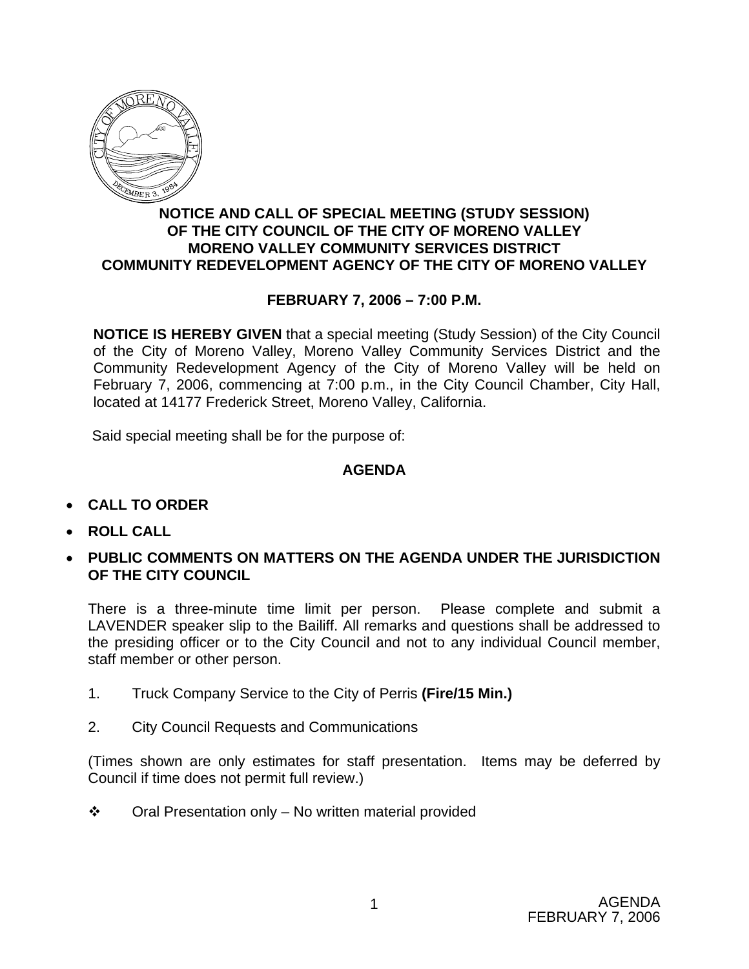

## **NOTICE AND CALL OF SPECIAL MEETING (STUDY SESSION) OF THE CITY COUNCIL OF THE CITY OF MORENO VALLEY MORENO VALLEY COMMUNITY SERVICES DISTRICT COMMUNITY REDEVELOPMENT AGENCY OF THE CITY OF MORENO VALLEY**

# **FEBRUARY 7, 2006 – 7:00 P.M.**

**NOTICE IS HEREBY GIVEN** that a special meeting (Study Session) of the City Council of the City of Moreno Valley, Moreno Valley Community Services District and the Community Redevelopment Agency of the City of Moreno Valley will be held on February 7, 2006, commencing at 7:00 p.m., in the City Council Chamber, City Hall, located at 14177 Frederick Street, Moreno Valley, California.

Said special meeting shall be for the purpose of:

## **AGENDA**

- **CALL TO ORDER**
- **ROLL CALL**
- **PUBLIC COMMENTS ON MATTERS ON THE AGENDA UNDER THE JURISDICTION OF THE CITY COUNCIL**

There is a three-minute time limit per person. Please complete and submit a LAVENDER speaker slip to the Bailiff. All remarks and questions shall be addressed to the presiding officer or to the City Council and not to any individual Council member, staff member or other person.

- 1. Truck Company Service to the City of Perris **(Fire/15 Min.)**
- 2. City Council Requests and Communications

(Times shown are only estimates for staff presentation. Items may be deferred by Council if time does not permit full review.)

 $\cdot \cdot$  Oral Presentation only – No written material provided